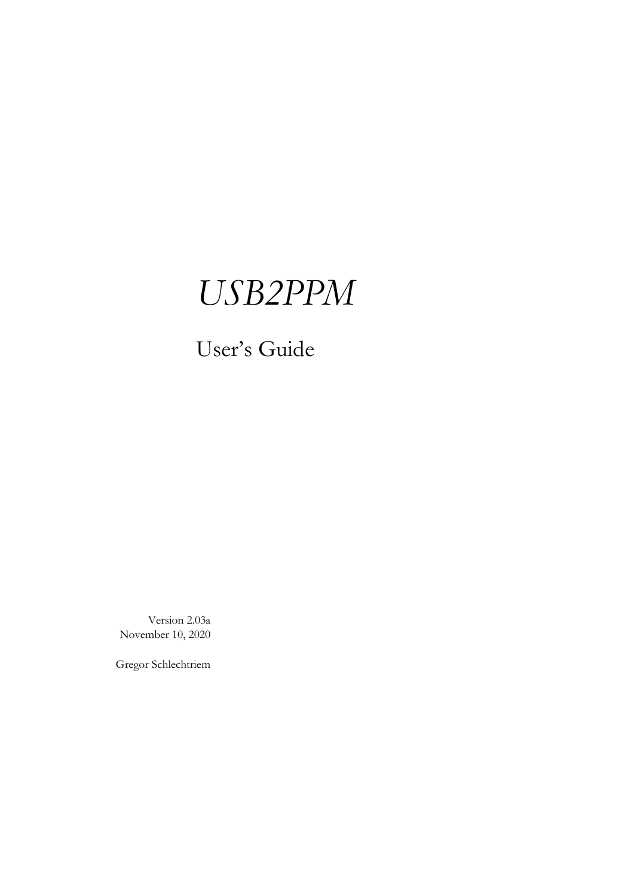## *USB2PPM*

### User's Guide

Version 2.03a November 10, 2020

Gregor Schlechtriem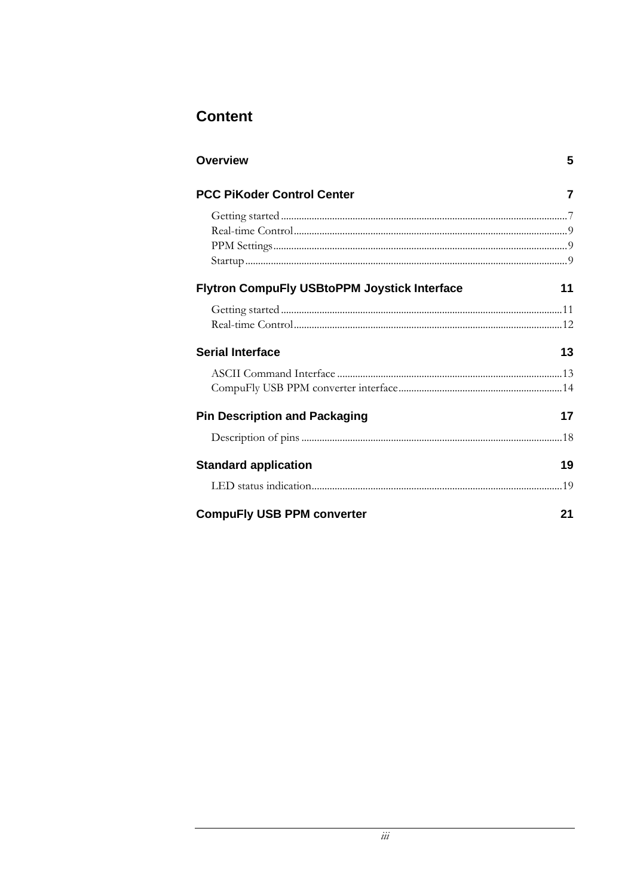### **Content**

| <b>Overview</b>                                     | 5  |  |
|-----------------------------------------------------|----|--|
| <b>PCC PiKoder Control Center</b>                   | 7  |  |
|                                                     |    |  |
|                                                     |    |  |
|                                                     |    |  |
|                                                     |    |  |
| <b>Flytron CompuFly USBtoPPM Joystick Interface</b> | 11 |  |
|                                                     |    |  |
|                                                     |    |  |
| <b>Serial Interface</b>                             | 13 |  |
|                                                     |    |  |
|                                                     |    |  |
| <b>Pin Description and Packaging</b>                | 17 |  |
|                                                     |    |  |
| <b>Standard application</b>                         | 19 |  |
|                                                     |    |  |
| <b>CompuFly USB PPM converter</b>                   | 21 |  |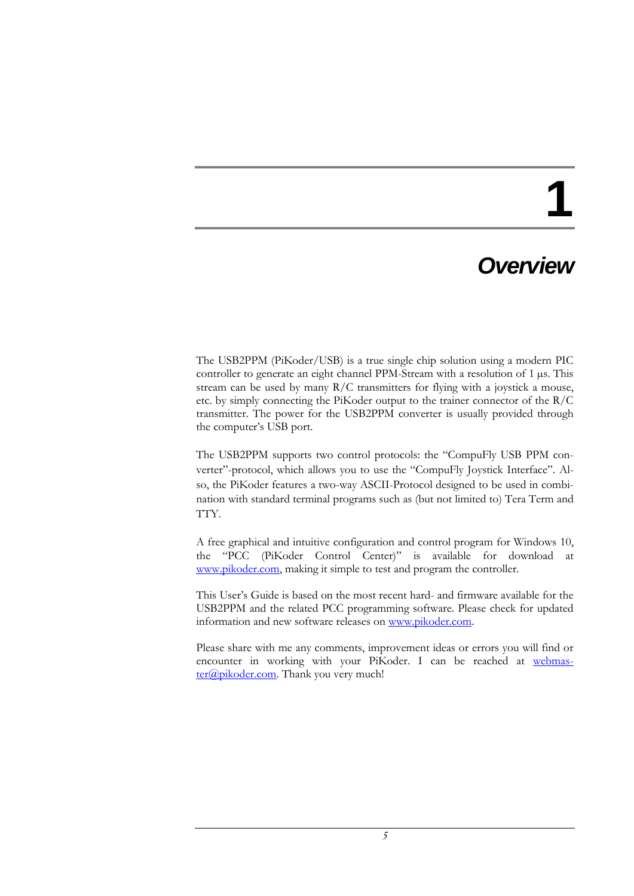## **1**

### *Overview*

The USB2PPM (PiKoder/USB) is a true single chip solution using a modern PIC controller to generate an eight channel PPM-Stream with a resolution of 1 µs. This stream can be used by many R/C transmitters for flying with a joystick a mouse, etc. by simply connecting the PiKoder output to the trainer connector of the R/C transmitter. The power for the USB2PPM converter is usually provided through the computer's USB port.

The USB2PPM supports two control protocols: the "CompuFly USB PPM converter"-protocol, which allows you to use the "CompuFly Joystick Interface". Also, the PiKoder features a two-way ASCII-Protocol designed to be used in combination with standard terminal programs such as (but not limited to) Tera Term and TTY.

A free graphical and intuitive configuration and control program for Windows 10, the "PCC (PiKoder Control Center)" is available for download at [www.pikoder.com,](http://www.pikoder.com/) making it simple to test and program the controller.

This User's Guide is based on the most recent hard- and firmware available for the USB2PPM and the related PCC programming software. Please check for updated information and new software releases on [www.pikoder.com.](http://www.pikoder.com/)

Please share with me any comments, improvement ideas or errors you will find or encounter in working with your PiKoder. I can be reached at [webmas](mailto:webmaster@pikoder.com)[ter@pikoder.com.](mailto:webmaster@pikoder.com) Thank you very much!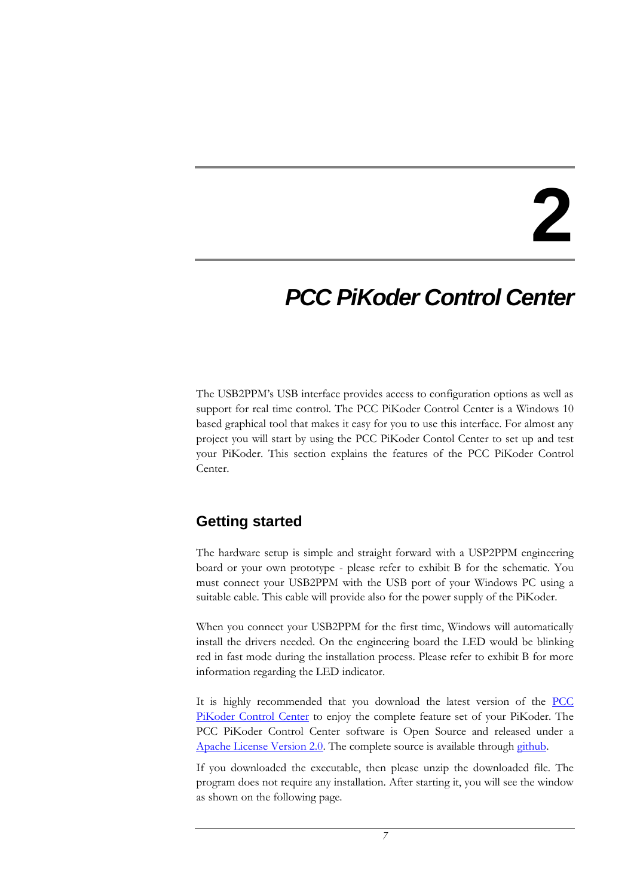## **2**

### *PCC PiKoder Control Center*

The USB2PPM's USB interface provides access to configuration options as well as support for real time control. The PCC PiKoder Control Center is a Windows 10 based graphical tool that makes it easy for you to use this interface. For almost any project you will start by using the PCC PiKoder Contol Center to set up and test your PiKoder. This section explains the features of the PCC PiKoder Control Center.

### **Getting started**

The hardware setup is simple and straight forward with a USP2PPM engineering board or your own prototype - please refer to exhibit B for the schematic. You must connect your USB2PPM with the USB port of your Windows PC using a suitable cable. This cable will provide also for the power supply of the PiKoder.

When you connect your USB2PPM for the first time, Windows will automatically install the drivers needed. On the engineering board the LED would be blinking red in fast mode during the installation process. Please refer to exhibit B for more information regarding the LED indicator.

It is highly recommended that you download the latest version of the **PCC** [PiKoder Control Center](https://pikoder.de/PiKoder_PCC.html) to enjoy the complete feature set of your PiKoder. The PCC PiKoder Control Center software is Open Source and released under a [Apache License Version 2.0.](http://www.apache.org/licenses/LICENSE-2.0) The complete source is available throug[h github.](https://github.com/Pikoder/PCC_PiKoder_Control_Center)

If you downloaded the executable, then please unzip the downloaded file. The program does not require any installation. After starting it, you will see the window as shown on the following page.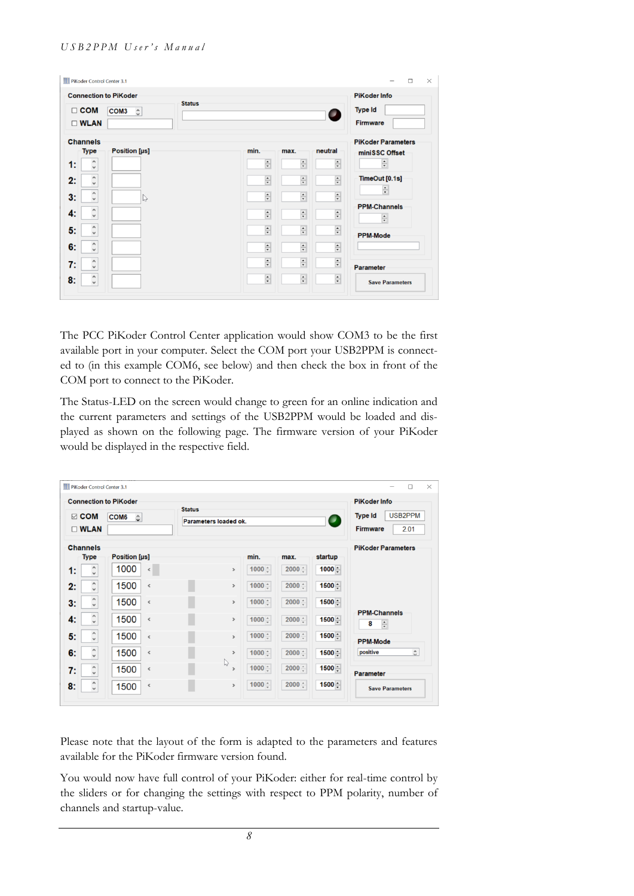#### *U S B 2 P P M U s e r ' s M a n u a l*

|    | $\Box$ COM<br>$\square$ WLAN          | <b>Connection to PiKoder</b><br>COM <sub>3</sub><br>$\hat{\cdot}$ | <b>Status</b>        |                           | O                         | <b>PiKoder Info</b><br><b>Type Id</b><br>Firmware |
|----|---------------------------------------|-------------------------------------------------------------------|----------------------|---------------------------|---------------------------|---------------------------------------------------|
|    | <b>Channels</b><br><b>Type</b>        | Position [µs]                                                     | min.                 | max.                      | neutral                   | <b>PiKoder Parameters</b><br>miniSSC Offset       |
| 1: | $\hat{\phantom{a}}$                   |                                                                   | $\frac{1}{\tau}$     | $\frac{\bullet}{\bullet}$ | $\frac{1}{\sqrt{2}}$      | $\div$                                            |
| 2: | $\hat{\cdot}$                         |                                                                   | $\div$               | $\div$                    | $\frac{1}{\sqrt{2}}$      | TimeOut [0.1s]                                    |
| 3: | $\hat{\phantom{a}}$                   | $\mathbb{Z}$                                                      | $\div$               | $\div$                    | $\frac{1}{\tau}$          | $\div$                                            |
| 4: | $\hat{\phantom{a}}$                   |                                                                   | $\frac{1}{\tau}$     | $\frac{\bullet}{\bullet}$ | $\frac{1}{\sqrt{2}}$      | <b>PPM-Channels</b><br>$\div$                     |
| 5: | $\hat{\phantom{a}}$                   |                                                                   | $\div$               | $\frac{1}{\sqrt{2}}$      | $\overline{\div}$         | <b>PPM-Mode</b>                                   |
| 6: | $\boldsymbol{\wedge}$<br>$\checkmark$ |                                                                   | $\frac{1}{\tau}$     | $\frac{1}{\tau}$          | $\frac{\bullet}{\bullet}$ |                                                   |
| 7: | $\hat{\phantom{a}}$                   |                                                                   | $\frac{1}{\sqrt{2}}$ | $\frac{1}{\sqrt{2}}$      | $\frac{1}{\sqrt{2}}$      | <b>Parameter</b>                                  |
| 8: | $\hat{\phantom{a}}$ ,                 |                                                                   | $\div$               | $\frac{1}{\tau}$          | $\div$                    | <b>Save Parameters</b>                            |

The PCC PiKoder Control Center application would show COM3 to be the first available port in your computer. Select the COM port your USB2PPM is connected to (in this example COM6, see below) and then check the box in front of the COM port to connect to the PiKoder.

The Status-LED on the screen would change to green for an online indication and the current parameters and settings of the USB2PPM would be loaded and displayed as shown on the following page. The firmware version of your PiKoder would be displayed in the respective field.

| <b>Connection to PiKoder</b> |                                     |                               | <b>Status</b>                 |                |          |                          | <b>PiKoder Info</b>                              |
|------------------------------|-------------------------------------|-------------------------------|-------------------------------|----------------|----------|--------------------------|--------------------------------------------------|
|                              | $\boxdot$ COM<br>$\square$ WLAN     | COM <sub>6</sub><br>$\hat{u}$ | Parameters loaded ok.         |                |          | $\overline{\phantom{a}}$ | USB2PPM<br><b>Type Id</b><br>Firmware<br>2.01    |
|                              | <b>Channels</b>                     |                               |                               |                |          |                          | <b>PiKoder Parameters</b>                        |
|                              | <b>Type</b>                         | Position [µs]                 |                               | min.           | max.     | startup                  |                                                  |
| 1:                           | Α<br>$\checkmark$                   | 1000<br>$\checkmark$          | $\rightarrow$                 | 1000 $\hat{z}$ | $2000 -$ | $1000 -$                 |                                                  |
| 2:                           | $\hat{\phantom{a}}$                 | 1500<br>$\hat{C}$             | $\rightarrow$                 | 1000 $\hat{z}$ | $2000 -$ | $1500 -$                 |                                                  |
| 3:                           | $\hat{\zeta}$                       | 1500<br>$\checkmark$          | $\rightarrow$                 | $1000 \div$    | $2000 -$ | 1500 ≙                   |                                                  |
| 4:                           | $\hat{\zeta}$                       | 1500<br>$\hat{C}$             | $\rightarrow$                 | $1000 \div$    | $2000 -$ | $1500 -$                 | <b>PPM-Channels</b><br>$\frac{1}{\sqrt{2}}$<br>8 |
| 5:                           | $\hat{\zeta}$                       | 1500<br>$\hat{C}$             | $\rightarrow$                 | 1000 $\div$    | $2000 -$ | $1500 -$                 | <b>PPM-Mode</b>                                  |
| 6:                           | $\hat{\zeta}$                       | 1500<br>$\checkmark$          | $\,$                          | $1000 -$       | $2000 -$ | $1500 -$                 | $\hat{\cdot}$<br>positive                        |
| 7:                           | $\hat{\phantom{a}}$<br>$\checkmark$ | 1500<br>$\mbox{\bf <}$        | $\mathbb{P}$<br>$\rightarrow$ | 1000 $\div$    | $2000 -$ | $1500 -$                 | <b>Parameter</b>                                 |
| 8:                           | $\hat{\phantom{0}}$                 | 1500<br>$\mbox{\bf <}$        | $\,$                          | 1000 $\div$    | $2000 -$ | 1500 ÷                   | <b>Save Parameters</b>                           |

Please note that the layout of the form is adapted to the parameters and features available for the PiKoder firmware version found.

You would now have full control of your PiKoder: either for real-time control by the sliders or for changing the settings with respect to PPM polarity, number of channels and startup-value.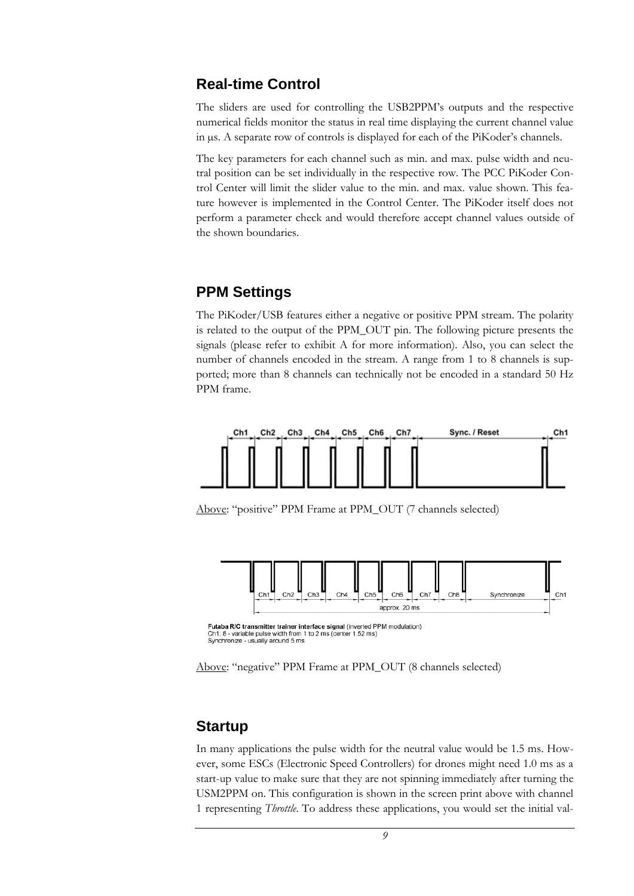#### **Real-time Control**

The sliders are used for controlling the USB2PPM's outputs and the respective numerical fields monitor the status in real time displaying the current channel value in µs. A separate row of controls is displayed for each of the PiKoder's channels.

The key parameters for each channel such as min. and max. pulse width and neutral position can be set individually in the respective row. The PCC PiKoder Control Center will limit the slider value to the min. and max. value shown. This feature however is implemented in the Control Center. The PiKoder itself does not perform a parameter check and would therefore accept channel values outside of the shown boundaries.

#### **PPM Settings**

The PiKoder/USB features either a negative or positive PPM stream. The polarity is related to the output of the PPM\_OUT pin. The following picture presents the signals (please refer to exhibit A for more information). Also, you can select the number of channels encoded in the stream. A range from 1 to 8 channels is supported; more than 8 channels can technically not be encoded in a standard 50 Hz PPM frame.



Above: "positive" PPM Frame at PPM\_OUT (7 channels selected)



Futaba R/C transmitter trainer interface signal (inverted PPM modulation)<br>Ch1..8 - variable pulse width from 1 to 2 ms (center 1,52 ms) Synchronize - usually around 5 ms

Above: "negative" PPM Frame at PPM\_OUT (8 channels selected)

#### **Startup**

In many applications the pulse width for the neutral value would be 1.5 ms. However, some ESCs (Electronic Speed Controllers) for drones might need 1.0 ms as a start-up value to make sure that they are not spinning immediately after turning the USM2PPM on. This configuration is shown in the screen print above with channel 1 representing *Throttle*. To address these applications, you would set the initial val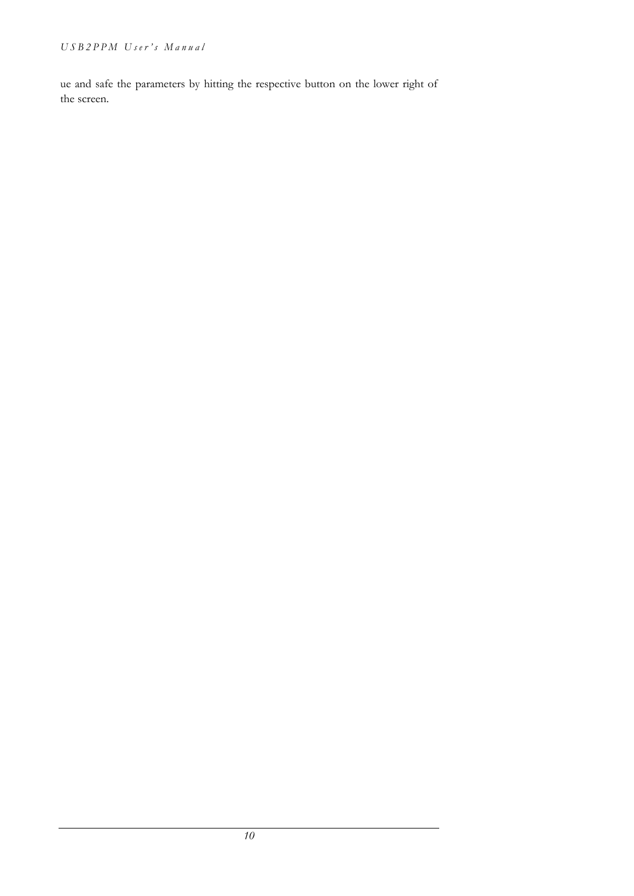ue and safe the parameters by hitting the respective button on the lower right of the screen.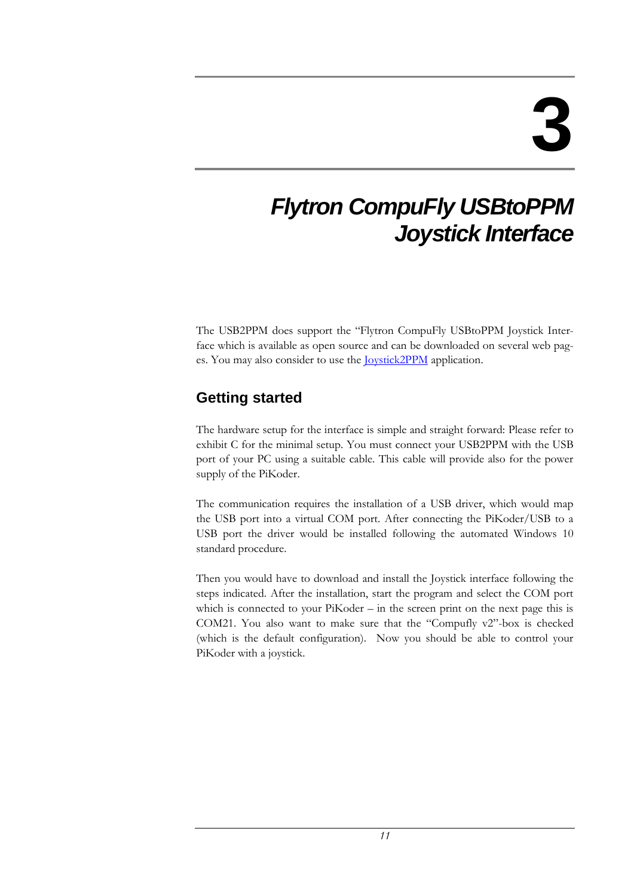### *Flytron CompuFly USBtoPPM Joystick Interface*

The USB2PPM does support the "Flytron CompuFly USBtoPPM Joystick Interface which is available as open source and can be downloaded on several web pages. You may also consider to use the [Joystick2PPM](https://pikoder.de/PiKoder_USB.html) application.

### **Getting started**

The hardware setup for the interface is simple and straight forward: Please refer to exhibit C for the minimal setup. You must connect your USB2PPM with the USB port of your PC using a suitable cable. This cable will provide also for the power supply of the PiKoder.

The communication requires the installation of a USB driver, which would map the USB port into a virtual COM port. After connecting the PiKoder/USB to a USB port the driver would be installed following the automated Windows 10 standard procedure.

Then you would have to download and install the Joystick interface following the steps indicated. After the installation, start the program and select the COM port which is connected to your PiKoder – in the screen print on the next page this is COM21. You also want to make sure that the "Compufly v2"-box is checked (which is the default configuration). Now you should be able to control your PiKoder with a joystick.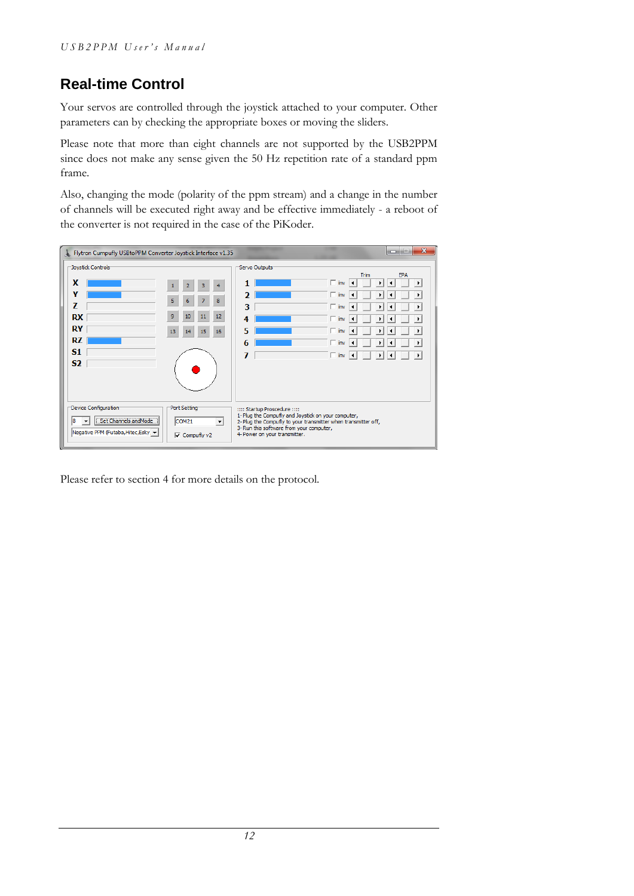### **Real-time Control**

Your servos are controlled through the joystick attached to your computer. Other parameters can by checking the appropriate boxes or moving the sliders.

Please note that more than eight channels are not supported by the USB2PPM since does not make any sense given the 50 Hz repetition rate of a standard ppm frame.

Also, changing the mode (polarity of the ppm stream) and a change in the number of channels will be executed right away and be effective immediately - a reboot of the converter is not required in the case of the PiKoder.

| Flytron Cumpufly USBtoPPM Converter Joystick Interface v1.35                                  |                                                                                                | $\overline{\mathbf{x}}$<br>٠e<br>$\Box$                                                                                                                                                                                            |
|-----------------------------------------------------------------------------------------------|------------------------------------------------------------------------------------------------|------------------------------------------------------------------------------------------------------------------------------------------------------------------------------------------------------------------------------------|
| Joystick Controls<br>x<br>Y<br>7<br><b>RX</b><br>RY<br>RZ<br>S <sub>1</sub><br>S <sub>2</sub> | 3<br>4<br>2<br>5<br>$\overline{7}$<br>8<br>6<br>9<br>12<br>10<br>11<br>15<br>13<br>14<br>16    | Servo Outputs<br>Trim<br><b>EPA</b><br>$\Box$ inv<br>$\blacktriangleright$<br>١<br>$\Box$ inv<br>з<br>$\Box$ inv<br>٠<br>$\Box$ inv<br>5<br>$^-$ inv<br>٠<br>$\sqcap$ inv<br>١<br>$\Box$ inv<br>١                                  |
| Device Configuration<br>Set Channels and Mode<br>Negative PPM (Futaba, Hitec, Esky, v         | Port Setting<br>COM <sub>21</sub><br>$\overline{\phantom{a}}$<br>$\overline{\vee}$ Compufly v2 | :::: Startup Proscedure ::::<br>1- Plug the Compufly and Joystick on your computer,<br>2- Plug the Compufly to your transmitter when transmitter off,<br>3- Run this software from your computer,<br>4- Power on your transmitter. |

Please refer to section 4 for more details on the protocol.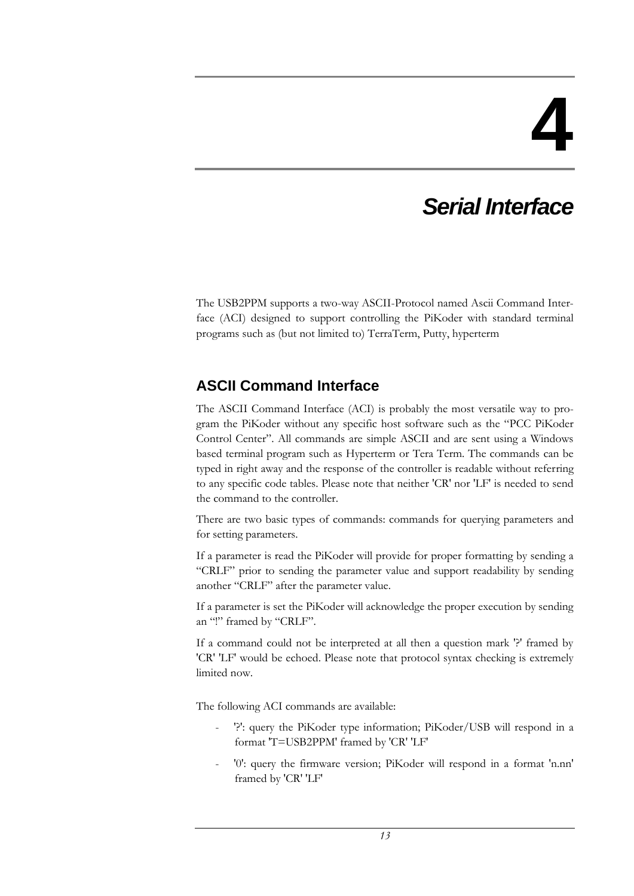## **4**

## *Serial Interface*

The USB2PPM supports a two-way ASCII-Protocol named Ascii Command Interface (ACI) designed to support controlling the PiKoder with standard terminal programs such as (but not limited to) TerraTerm, Putty, hyperterm

### **ASCII Command Interface**

The ASCII Command Interface (ACI) is probably the most versatile way to program the PiKoder without any specific host software such as the "PCC PiKoder Control Center". All commands are simple ASCII and are sent using a Windows based terminal program such as Hyperterm or Tera Term. The commands can be typed in right away and the response of the controller is readable without referring to any specific code tables. Please note that neither 'CR' nor 'LF' is needed to send the command to the controller.

There are two basic types of commands: commands for querying parameters and for setting parameters.

If a parameter is read the PiKoder will provide for proper formatting by sending a "CRLF" prior to sending the parameter value and support readability by sending another "CRLF" after the parameter value.

If a parameter is set the PiKoder will acknowledge the proper execution by sending an "!" framed by "CRLF".

If a command could not be interpreted at all then a question mark '?' framed by 'CR' 'LF' would be echoed. Please note that protocol syntax checking is extremely limited now.

The following ACI commands are available:

- '?': query the PiKoder type information; PiKoder/USB will respond in a format 'T=USB2PPM' framed by 'CR' 'LF'
- '0': query the firmware version; PiKoder will respond in a format 'n.nn' framed by 'CR' 'LF'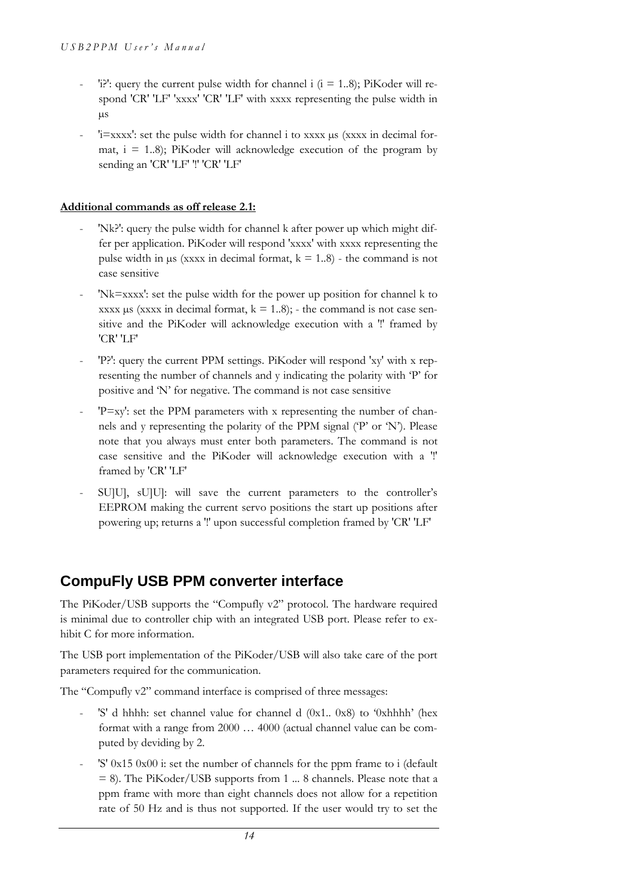- 'i?': query the current pulse width for channel i  $(i = 1..8)$ ; PiKoder will respond 'CR' 'LF' 'xxxx' 'CR' 'LF' with xxxx representing the pulse width in µs
- ' $i=xxxx'$ : set the pulse width for channel i to xxxx  $\mu s$  (xxxx in decimal format,  $i = 1.8$ ; PiKoder will acknowledge execution of the program by sending an 'CR' 'LF' '!' 'CR' 'LF'

#### **Additional commands as off release 2.1:**

- 'Nk?': query the pulse width for channel k after power up which might differ per application. PiKoder will respond 'xxxx' with xxxx representing the pulse width in  $\mu$ s (xxxx in decimal format,  $k = 1..8$ ) - the command is not case sensitive
- 'Nk=xxxx': set the pulse width for the power up position for channel k to xxxx  $\mu$ s (xxxx in decimal format,  $k = 1..8$ ); - the command is not case sensitive and the PiKoder will acknowledge execution with a '!' framed by 'CR' 'LF'
- 'P?': query the current PPM settings. PiKoder will respond 'xy' with x representing the number of channels and y indicating the polarity with 'P' for positive and 'N' for negative. The command is not case sensitive
- 'P=xy': set the PPM parameters with x representing the number of channels and y representing the polarity of the PPM signal ('P' or 'N'). Please note that you always must enter both parameters. The command is not case sensitive and the PiKoder will acknowledge execution with a '!' framed by 'CR' 'LF'
- SU]U], sU]U]: will save the current parameters to the controller's EEPROM making the current servo positions the start up positions after powering up; returns a '!' upon successful completion framed by 'CR' 'LF'

### **CompuFly USB PPM converter interface**

The PiKoder/USB supports the "Compufly v2" protocol. The hardware required is minimal due to controller chip with an integrated USB port. Please refer to exhibit C for more information.

The USB port implementation of the PiKoder/USB will also take care of the port parameters required for the communication.

The "Compufly v2" command interface is comprised of three messages:

- 'S' d hhhh: set channel value for channel d (0x1.. 0x8) to '0xhhhh' (hex format with a range from 2000 … 4000 (actual channel value can be computed by deviding by 2.
- 'S' 0x15 0x00 i: set the number of channels for the ppm frame to i (default = 8). The PiKoder/USB supports from 1 ... 8 channels. Please note that a ppm frame with more than eight channels does not allow for a repetition rate of 50 Hz and is thus not supported. If the user would try to set the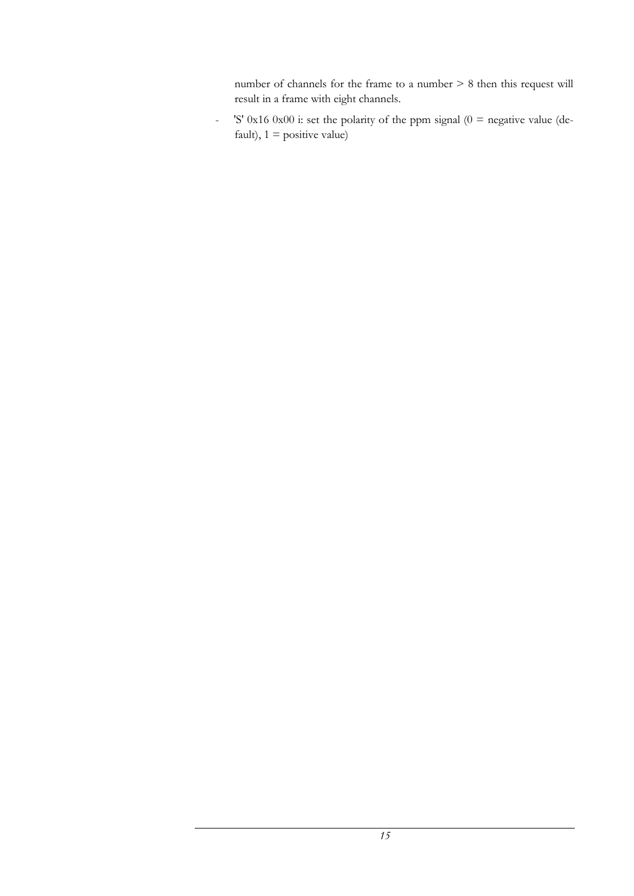number of channels for the frame to a number > 8 then this request will result in a frame with eight channels.

- 'S' 0x16 0x00 i: set the polarity of the ppm signal ( $0 =$  negative value (default),  $1 =$  positive value)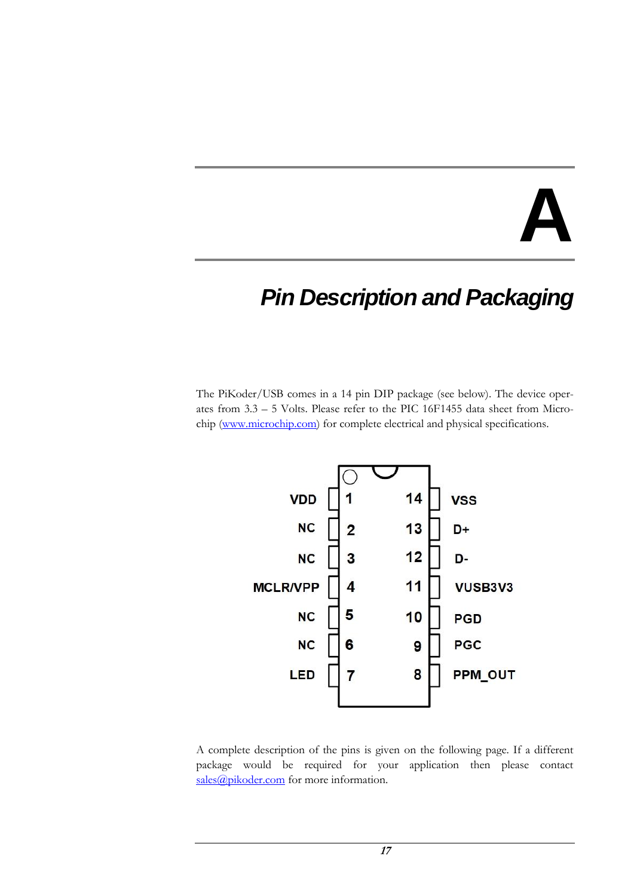## **A**

### *Pin Description and Packaging*

The PiKoder/USB comes in a 14 pin DIP package (see below). The device operates from 3.3 – 5 Volts. Please refer to the PIC 16F1455 data sheet from Micro-chip [\(www.microchip.com\)](http://www.microchip.com/) for complete electrical and physical specifications.



A complete description of the pins is given on the following page. If a different package would be required for your application then please contact [sales@pikoder.com](mailto:sales@pikoder.com) for more information.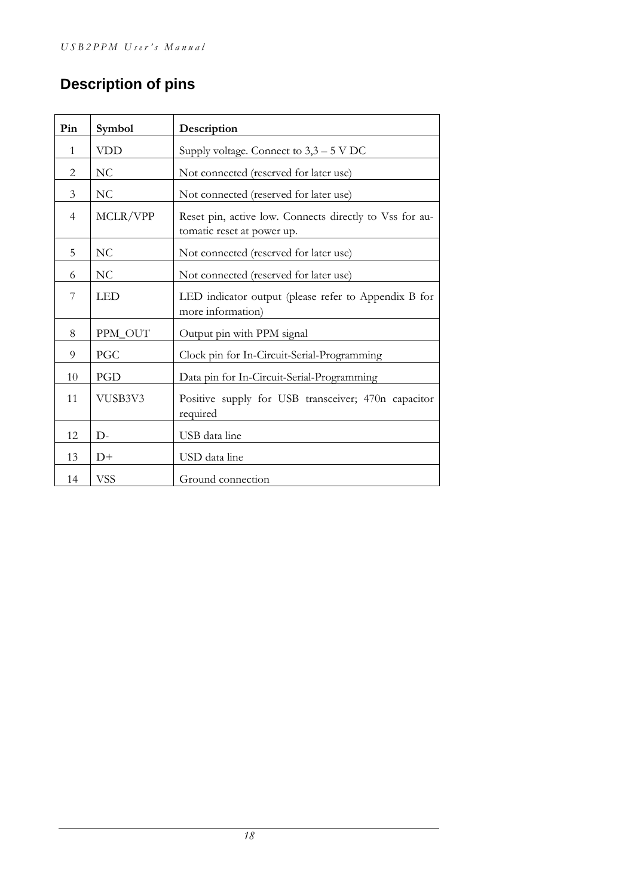### **Description of pins**

| Pin            | Symbol         | Description                                                                           |  |
|----------------|----------------|---------------------------------------------------------------------------------------|--|
| $\mathbf{1}$   | <b>VDD</b>     | Supply voltage. Connect to $3,3-5$ V DC                                               |  |
| $\overline{c}$ | N <sub>C</sub> | Not connected (reserved for later use)                                                |  |
| $\mathfrak{Z}$ | N <sub>C</sub> | Not connected (reserved for later use)                                                |  |
| $\overline{4}$ | MCLR/VPP       | Reset pin, active low. Connects directly to Vss for au-<br>tomatic reset at power up. |  |
| 5              | NC             | Not connected (reserved for later use)                                                |  |
| 6              | NC             | Not connected (reserved for later use)                                                |  |
| $\overline{7}$ | <b>LED</b>     | LED indicator output (please refer to Appendix B for<br>more information)             |  |
| 8              | PPM_OUT        | Output pin with PPM signal                                                            |  |
| 9              | PGC            | Clock pin for In-Circuit-Serial-Programming                                           |  |
| 10             | PGD            | Data pin for In-Circuit-Serial-Programming                                            |  |
| 11             | VUSB3V3        | Positive supply for USB transceiver; 470n capacitor<br>required                       |  |
| 12             | $D-$           | USB data line                                                                         |  |
| 13             | $D+$           | USD data line                                                                         |  |
| 14             | <b>VSS</b>     | Ground connection                                                                     |  |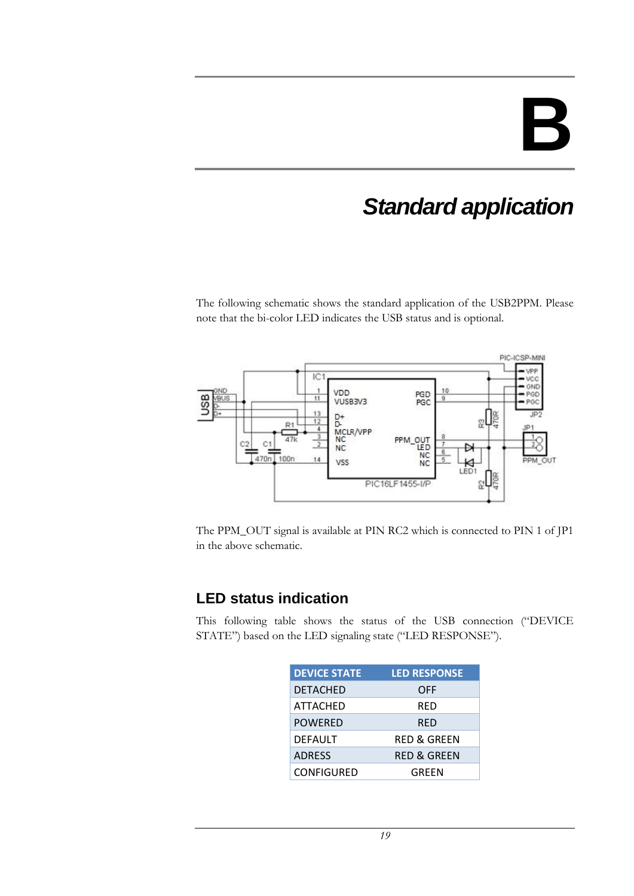## **B**

## *Standard application*

The following schematic shows the standard application of the USB2PPM. Please note that the bi-color LED indicates the USB status and is optional.



The PPM\_OUT signal is available at PIN RC2 which is connected to PIN 1 of JP1 in the above schematic.

### **LED status indication**

This following table shows the status of the USB connection ("DEVICE STATE") based on the LED signaling state ("LED RESPONSE").

| <b>DEVICE STATE</b> | <b>LED RESPONSE</b>    |
|---------------------|------------------------|
| <b>DETACHED</b>     | OFF                    |
| ATTACHED            | RED                    |
| <b>POWERED</b>      | RED                    |
| <b>DEFAULT</b>      | <b>RED &amp; GREEN</b> |
| <b>ADRESS</b>       | <b>RED &amp; GREEN</b> |
| <b>CONFIGURED</b>   | GREEN                  |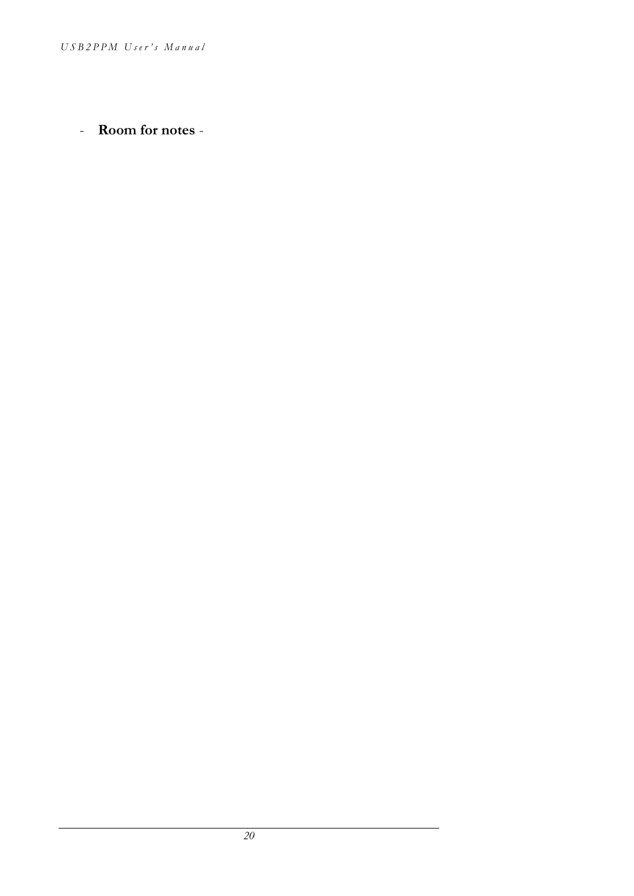- **Room for notes** -